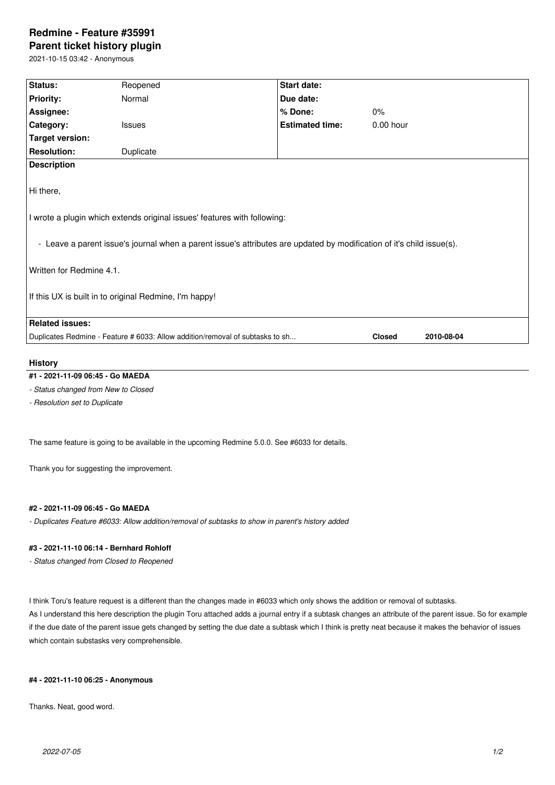# **Redmine - Feature #35991**

**Parent ticket history plugin**

2021-10-15 03:42 - Anonymous

| Status:                                                                                                                                                                                                        | Reopened      | Start date:            |               |            |
|----------------------------------------------------------------------------------------------------------------------------------------------------------------------------------------------------------------|---------------|------------------------|---------------|------------|
|                                                                                                                                                                                                                |               |                        |               |            |
| <b>Priority:</b>                                                                                                                                                                                               | Normal        | Due date:              |               |            |
| Assignee:                                                                                                                                                                                                      |               | % Done:                | 0%            |            |
| Category:                                                                                                                                                                                                      | <b>Issues</b> | <b>Estimated time:</b> | $0.00$ hour   |            |
| <b>Target version:</b>                                                                                                                                                                                         |               |                        |               |            |
| <b>Resolution:</b>                                                                                                                                                                                             | Duplicate     |                        |               |            |
| <b>Description</b>                                                                                                                                                                                             |               |                        |               |            |
| Hi there,<br>I wrote a plugin which extends original issues' features with following:<br>- Leave a parent issue's journal when a parent issue's attributes are updated by modification of it's child issue(s). |               |                        |               |            |
| Written for Redmine 4.1.                                                                                                                                                                                       |               |                        |               |            |
| If this UX is built in to original Redmine, I'm happy!                                                                                                                                                         |               |                        |               |            |
| <b>Related issues:</b>                                                                                                                                                                                         |               |                        |               |            |
| Duplicates Redmine - Feature # 6033: Allow addition/removal of subtasks to sh                                                                                                                                  |               |                        | <b>Closed</b> | 2010-08-04 |
|                                                                                                                                                                                                                |               |                        |               |            |

#### **History**

## **#1 - 2021-11-09 06:45 - Go MAEDA**

*- Status changed from New to Closed*

*- Resolution set to Duplicate*

The same feature is going to be available in the upcoming Redmine 5.0.0. See #6033 for details.

Thank you for suggesting the improvement.

#### **#2 - 2021-11-09 06:45 - Go MAEDA**

*- Duplicates Feature #6033: Allow addition/removal of subtasks to show in parent's history added*

### **#3 - 2021-11-10 06:14 - Bernhard Rohloff**

*- Status changed from Closed to Reopened*

I think Toru's feature request is a different than the changes made in #6033 which only shows the addition or removal of subtasks.

As I understand this here description the plugin Toru attached adds a journal entry if a subtask changes an attribute of the parent issue. So for example if the due date of the parent issue gets changed by setting the due date a subtask which I think is pretty neat because it makes the behavior of issues which contain substasks very comprehensible.

#### **#4 - 2021-11-10 06:25 - Anonymous**

Thanks. Neat, good word.